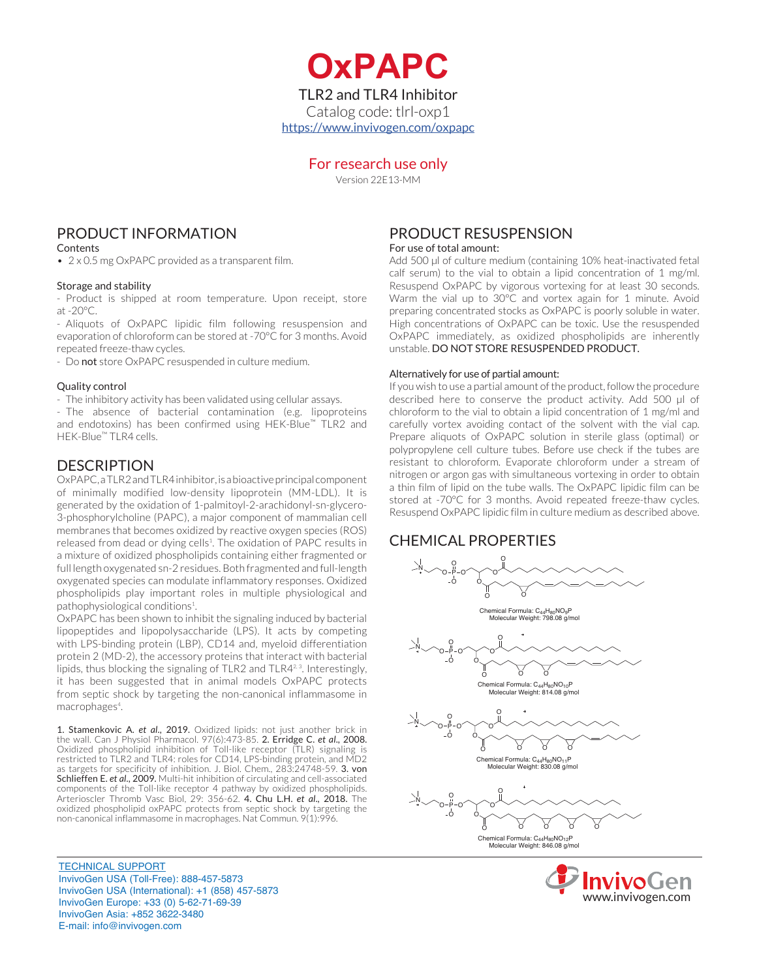**OxPAPC** TLR2 and TLR4 Inhibitor Catalog code: tlrl-oxp1 https://www.invivogen.com/oxpapc

### For research use only

Version 22E13-MM

## PRODUCT INFORMATION

**Contents** 

• 2 x 0.5 mg OxPAPC provided as a transparent film.

#### Storage and stability

- Product is shipped at room temperature. Upon receipt, store at -20°C.

- Aliquots of OxPAPC lipidic film following resuspension and evaporation of chloroform can be stored at -70°C for 3 months. Avoid repeated freeze-thaw cycles.

- Do not store OxPAPC resuspended in culture medium.

#### Quality control

- The inhibitory activity has been validated using cellular assays.

- The absence of bacterial contamination (e.g. lipoproteins and endotoxins) has been confirmed using HEK-Blue™ TLR2 and HEK-Blue™ TLR4 cells.

### **DESCRIPTION**

OxPAPC, a TLR2 and TLR4 inhibitor, is a bioactive principal component of minimally modified low-density lipoprotein (MM-LDL). It is generated by the oxidation of 1-palmitoyl-2-arachidonyl-sn-glycero-3-phosphorylcholine (PAPC), a major component of mammalian cell membranes that becomes oxidized by reactive oxygen species (ROS) released from dead or dying cells<sup>1</sup>. The oxidation of PAPC results in a mixture of oxidized phospholipids containing either fragmented or full length oxygenated sn-2 residues. Both fragmented and full-length oxygenated species can modulate inflammatory responses. Oxidized phospholipids play important roles in multiple physiological and pathophysiological conditions<sup>1</sup>. .

OxPAPC has been shown to inhibit the signaling induced by bacterial lipopeptides and lipopolysaccharide (LPS). It acts by competing with LPS-binding protein (LBP), CD14 and, myeloid differentiation protein 2 (MD-2), the accessory proteins that interact with bacterial lipids, thus blocking the signaling of TLR2 and TLR4<sup>2,3</sup>. Interestingly, it has been suggested that in animal models OxPAPC protects from septic shock by targeting the non-canonical inflammasome in macrophages<sup>4</sup>.

1. Stamenkovic A. *et al*., 2019. Oxidized lipids: not just another brick in the wall. Can J Physiol Pharmacol. 97(6):473-85. 2. Erridge C. *et al*., 2008. Oxidized phospholipid inhibition of Toll-like receptor (TLR) signaling is restricted to TLR2 and TLR4: roles for CD14, LPS-binding protein, and MD2 as targets for specificity of inhibition. J. Biol. Chem., 283:24748-59. 3. von Schlieffen E. *et al*., 2009. Multi-hit inhibition of circulating and cell-associated components of the Toll-like receptor 4 pathway by oxidized phospholipids. Arterioscler Thromb Vasc Biol, 29: 356-62. 4. Chu L.H. *et al*., 2018. The oxidized phospholipid oxPAPC protects from septic shock by targeting the non-canonical inflammasome in macrophages. Nat Commun. 9(1):996.

TECHNICAL SUPPORT InvivoGen USA (Toll‑Free): 888-457-5873 InvivoGen USA (International): +1 (858) 457-5873 InvivoGen Europe: +33 (0) 5-62-71-69-39 InvivoGen Asia: +852 3622-3480 E-mail: info@invivogen.com

## PRODUCT RESUSPENSION

For use of total amount:

Add 500 µl of culture medium (containing 10% heat-inactivated fetal calf serum) to the vial to obtain a lipid concentration of 1 mg/ml. Resuspend OxPAPC by vigorous vortexing for at least 30 seconds. Warm the vial up to 30°C and vortex again for 1 minute. Avoid preparing concentrated stocks as OxPAPC is poorly soluble in water. High concentrations of OxPAPC can be toxic. Use the resuspended OxPAPC immediately, as oxidized phospholipids are inherently unstable. DO NOT STORE RESUSPENDED PRODUCT.

#### Alternatively for use of partial amount:

If you wish to use a partial amount of the product, follow the procedure described here to conserve the product activity. Add 500 µl of chloroform to the vial to obtain a lipid concentration of 1 mg/ml and carefully vortex avoiding contact of the solvent with the vial cap. Prepare aliquots of OxPAPC solution in sterile glass (optimal) or polypropylene cell culture tubes. Before use check if the tubes are resistant to chloroform. Evaporate chloroform under a stream of nitrogen or argon gas with simultaneous vortexing in order to obtain a thin film of lipid on the tube walls. The OxPAPC lipidic film can be stored at -70°C for 3 months. Avoid repeated freeze-thaw cycles. Resuspend OxPAPC lipidic film in culture medium as described above.

## CHEMICAL PROPERTIES